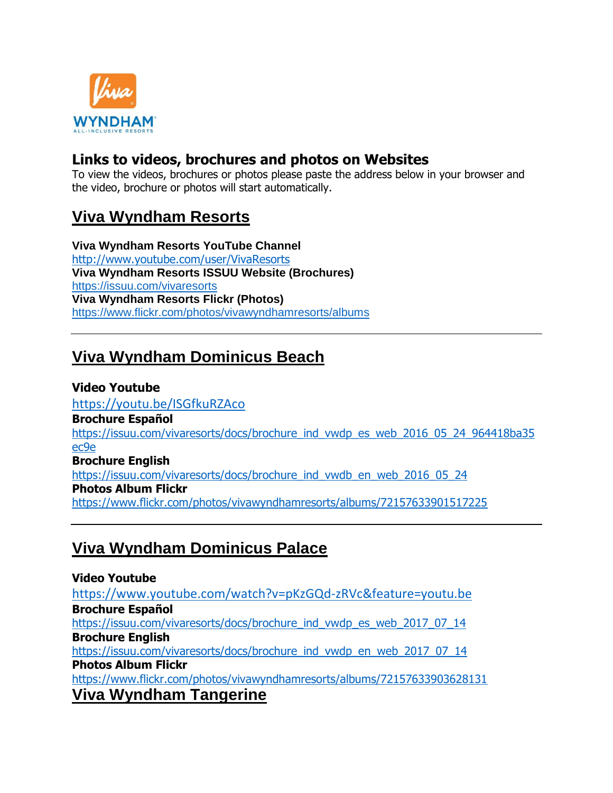

#### **Links to videos, brochures and photos on Websites**

To view the videos, brochures or photos please paste the address below in your browser and the video, brochure or photos will start automatically.

#### **Viva Wyndham Resorts**

**Viva Wyndham Resorts YouTube Channel**  <http://www.youtube.com/user/VivaResorts> **Viva Wyndham Resorts ISSUU Website (Brochures)** <https://issuu.com/vivaresorts> **Viva Wyndham Resorts Flickr (Photos)** <https://www.flickr.com/photos/vivawyndhamresorts/albums>

# **Viva Wyndham Dominicus Beach**

#### **Video Youtube**

<https://youtu.be/ISGfkuRZAco> **Brochure Español** [https://issuu.com/vivaresorts/docs/brochure\\_ind\\_vwdp\\_es\\_web\\_2016\\_05\\_24\\_964418ba35](https://issuu.com/vivaresorts/docs/brochure_ind_vwdp_es_web_2016_05_24_964418ba35ec9e) [ec9e](https://issuu.com/vivaresorts/docs/brochure_ind_vwdp_es_web_2016_05_24_964418ba35ec9e) **Brochure English** [https://issuu.com/vivaresorts/docs/brochure\\_ind\\_vwdb\\_en\\_web\\_2016\\_05\\_24](https://issuu.com/vivaresorts/docs/brochure_ind_vwdb_en_web_2016_05_24) **Photos Album Flickr** <https://www.flickr.com/photos/vivawyndhamresorts/albums/72157633901517225>

#### **Viva Wyndham Dominicus Palace**

**Video Youtube** <https://www.youtube.com/watch?v=pKzGQd-zRVc&feature=youtu.be> **Brochure Español** [https://issuu.com/vivaresorts/docs/brochure\\_ind\\_vwdp\\_es\\_web\\_2017\\_07\\_14](https://issuu.com/vivaresorts/docs/brochure_ind_vwdp_es_web_2017_07_14) **Brochure English** [https://issuu.com/vivaresorts/docs/brochure\\_ind\\_vwdp\\_en\\_web\\_2017\\_07\\_14](https://issuu.com/vivaresorts/docs/brochure_ind_vwdp_en_web_2017_07_14) **Photos Album Flickr** <https://www.flickr.com/photos/vivawyndhamresorts/albums/72157633903628131> **Viva Wyndham Tangerine**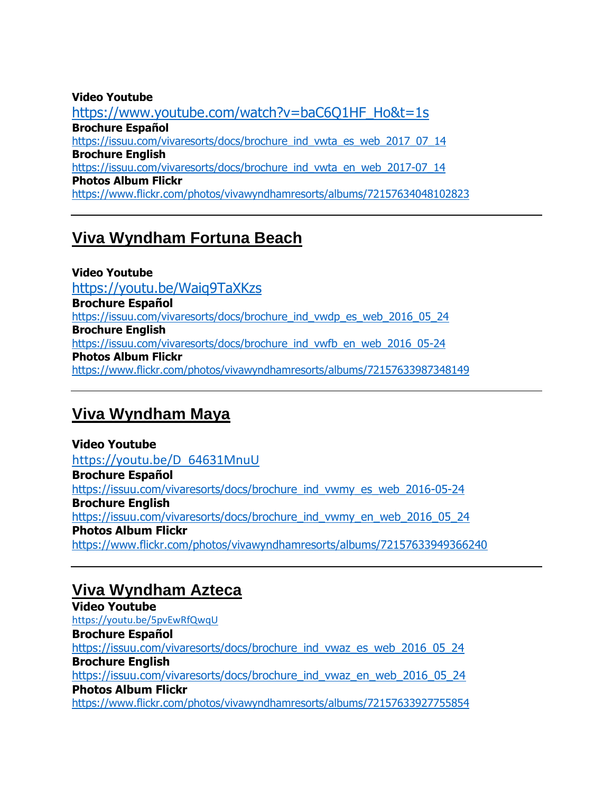#### **Video Youtube** [https://www.youtube.com/watch?v=baC6Q1HF\\_Ho&t=1s](https://www.youtube.com/watch?v=baC6Q1HF_Ho&t=1s) **Brochure Español** [https://issuu.com/vivaresorts/docs/brochure\\_ind\\_vwta\\_es\\_web\\_2017\\_07\\_14](https://issuu.com/vivaresorts/docs/brochure_ind_vwta_es_web_2017_07_14) **Brochure English** [https://issuu.com/vivaresorts/docs/brochure\\_ind\\_vwta\\_en\\_web\\_2017-07\\_14](https://issuu.com/vivaresorts/docs/brochure_ind_vwta_en_web_2017-07_14) **Photos Album Flickr** <https://www.flickr.com/photos/vivawyndhamresorts/albums/72157634048102823>

## **Viva Wyndham Fortuna Beach**

**Video Youtube** <https://youtu.be/Waiq9TaXKzs> **Brochure Español** [https://issuu.com/vivaresorts/docs/brochure\\_ind\\_vwdp\\_es\\_web\\_2016\\_05\\_24](https://issuu.com/vivaresorts/docs/brochure_ind_vwdp_es_web_2016_05_24) **Brochure English** [https://issuu.com/vivaresorts/docs/brochure\\_ind\\_vwfb\\_en\\_web\\_2016\\_05-24](https://issuu.com/vivaresorts/docs/brochure_ind_vwfb_en_web_2016_05-24) **Photos Album Flickr** <https://www.flickr.com/photos/vivawyndhamresorts/albums/72157633987348149>

## **Viva Wyndham Maya**

**Video Youtube** [https://youtu.be/D\\_64631MnuU](https://youtu.be/D_64631MnuU) **Brochure Español** [https://issuu.com/vivaresorts/docs/brochure\\_ind\\_vwmy\\_es\\_web\\_2016-05-24](https://issuu.com/vivaresorts/docs/brochure_ind_vwmy_es_web_2016-05-24) **Brochure English** [https://issuu.com/vivaresorts/docs/brochure\\_ind\\_vwmy\\_en\\_web\\_2016\\_05\\_24](https://issuu.com/vivaresorts/docs/brochure_ind_vwmy_en_web_2016_05_24) **Photos Album Flickr** <https://www.flickr.com/photos/vivawyndhamresorts/albums/72157633949366240>

## **Viva Wyndham Azteca**

**Video Youtube** <https://youtu.be/5pvEwRfQwqU> **Brochure Español** [https://issuu.com/vivaresorts/docs/brochure\\_ind\\_vwaz\\_es\\_web\\_2016\\_05\\_24](https://issuu.com/vivaresorts/docs/brochure_ind_vwaz_es_web_2016_05_24) **Brochure English** [https://issuu.com/vivaresorts/docs/brochure\\_ind\\_vwaz\\_en\\_web\\_2016\\_05\\_24](https://issuu.com/vivaresorts/docs/brochure_ind_vwaz_en_web_2016_05_24) **Photos Album Flickr** <https://www.flickr.com/photos/vivawyndhamresorts/albums/72157633927755854>